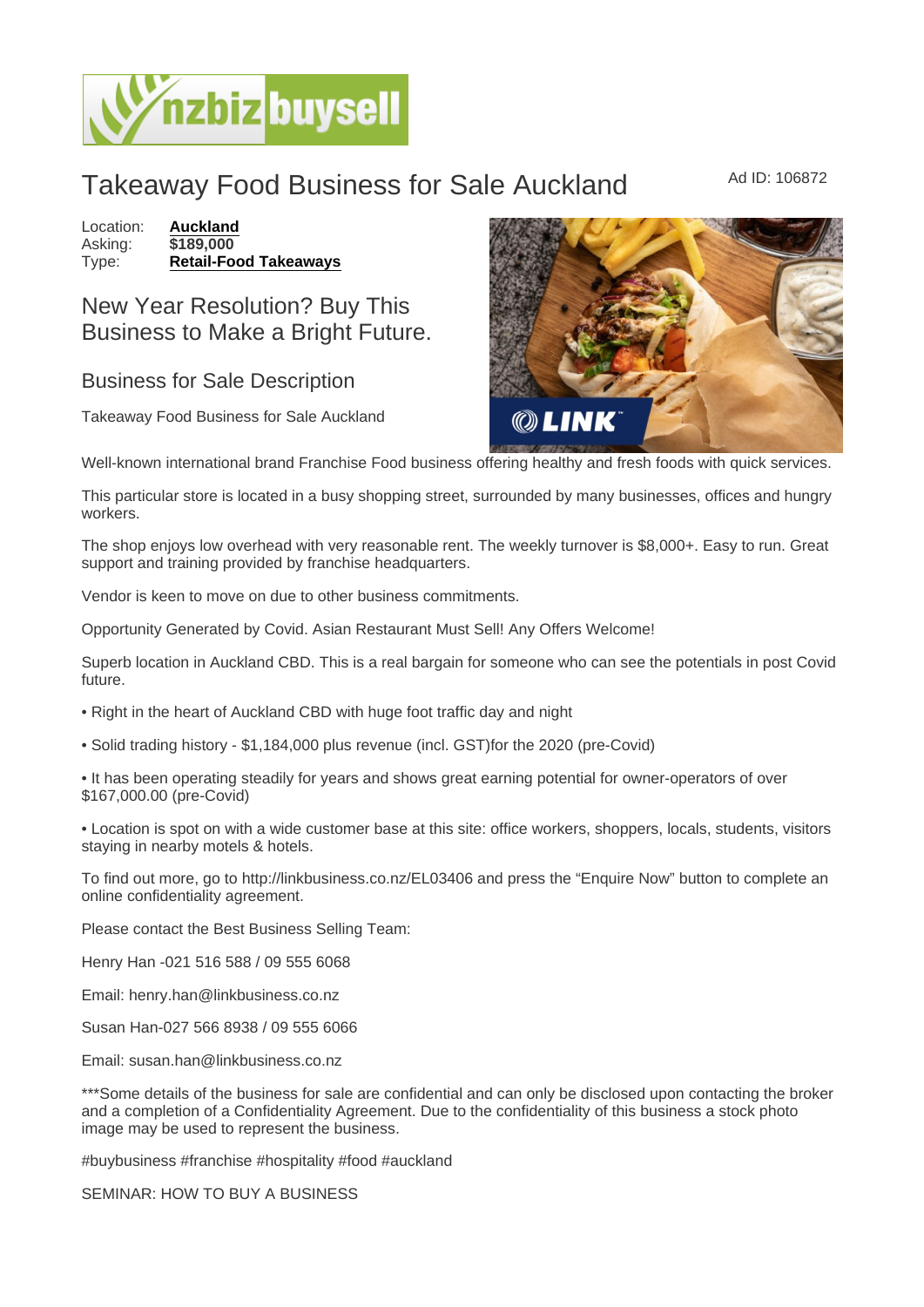## Takeaway Food Business for Sale Auckland Mad ID: 106872

Location: [Auckland](https://www.nzbizbuysell.co.nz/businesses-for-sale/location/Auckland) Asking: \$189,000<br>Type: Retail-Foo [Retail-Food Takeaways](https://www.nzbizbuysell.co.nz/businesses-for-sale/Retail-Food-Takeaways/New-Zealand)

## New Year Resolution? Buy This Business to Make a Bright Future.

## Business for Sale Description

Takeaway Food Business for Sale Auckland

Well-known international brand Franchise Food business offering healthy and fresh foods with quick services.

This particular store is located in a busy shopping street, surrounded by many businesses, offices and hungry workers.

The shop enjoys low overhead with very reasonable rent. The weekly turnover is \$8,000+. Easy to run. Great support and training provided by franchise headquarters.

Vendor is keen to move on due to other business commitments.

Opportunity Generated by Covid. Asian Restaurant Must Sell! Any Offers Welcome!

Superb location in Auckland CBD. This is a real bargain for someone who can see the potentials in post Covid future.

• Right in the heart of Auckland CBD with huge foot traffic day and night

• Solid trading history - \$1,184,000 plus revenue (incl. GST)for the 2020 (pre-Covid)

• It has been operating steadily for years and shows great earning potential for owner-operators of over \$167,000.00 (pre-Covid)

• Location is spot on with a wide customer base at this site: office workers, shoppers, locals, students, visitors staying in nearby motels & hotels.

To find out more, go to http://linkbusiness.co.nz/EL03406 and press the "Enquire Now" button to complete an online confidentiality agreement.

Please contact the Best Business Selling Team:

Henry Han -021 516 588 / 09 555 6068

Email: henry.han@linkbusiness.co.nz

Susan Han-027 566 8938 / 09 555 6066

Email: susan.han@linkbusiness.co.nz

\*\*\*Some details of the business for sale are confidential and can only be disclosed upon contacting the broker and a completion of a Confidentiality Agreement. Due to the confidentiality of this business a stock photo image may be used to represent the business.

#buybusiness #franchise #hospitality #food #auckland

SEMINAR: HOW TO BUY A BUSINESS